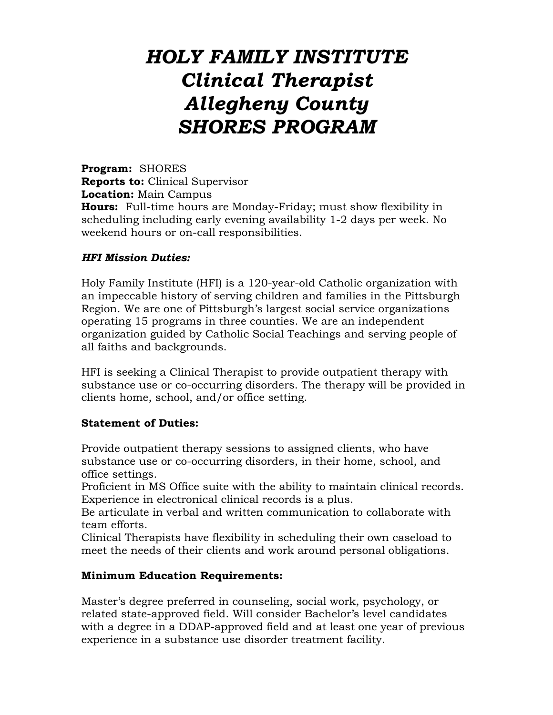# *HOLY FAMILY INSTITUTE Clinical Therapist Allegheny County SHORES PROGRAM*

**Program:** SHORES **Reports to:** Clinical Supervisor **Location:** Main Campus **Hours:** Full-time hours are Monday-Friday; must show flexibility in scheduling including early evening availability 1-2 days per week. No weekend hours or on-call responsibilities.

### *HFI Mission Duties:*

Holy Family Institute (HFI) is a 120-year-old Catholic organization with an impeccable history of serving children and families in the Pittsburgh Region. We are one of Pittsburgh's largest social service organizations operating 15 programs in three counties. We are an independent organization guided by Catholic Social Teachings and serving people of all faiths and backgrounds.

HFI is seeking a Clinical Therapist to provide outpatient therapy with substance use or co-occurring disorders. The therapy will be provided in clients home, school, and/or office setting.

#### **Statement of Duties:**

Provide outpatient therapy sessions to assigned clients, who have substance use or co-occurring disorders, in their home, school, and office settings.

Proficient in MS Office suite with the ability to maintain clinical records. Experience in electronical clinical records is a plus.

Be articulate in verbal and written communication to collaborate with team efforts.

Clinical Therapists have flexibility in scheduling their own caseload to meet the needs of their clients and work around personal obligations.

#### **Minimum Education Requirements:**

Master's degree preferred in counseling, social work, psychology, or related state-approved field. Will consider Bachelor's level candidates with a degree in a DDAP-approved field and at least one year of previous experience in a substance use disorder treatment facility.